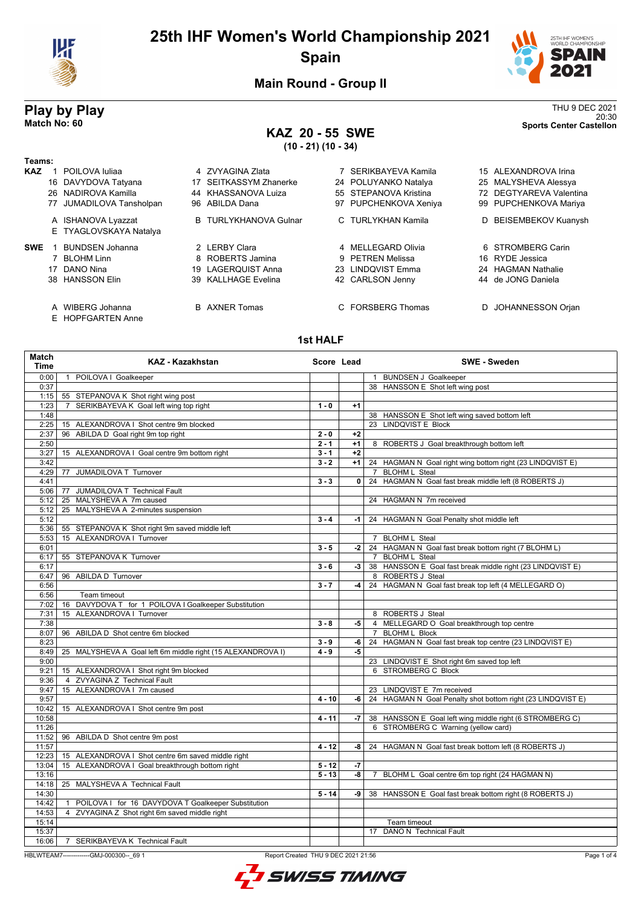

# **25th IHF Women's World Championship 2021 Spain**



20:30 **Match No: 60 Sports Center Castellon**

**Main Round - Group II**

# **Play by Play**<br>Match No: 60<br>Sports Center Castellon

# **KAZ 20 - 55 SWE**

**(10 - 21) (10 - 34)**

| Teams:     |    |                                     |                              |                       |   |                         |
|------------|----|-------------------------------------|------------------------------|-----------------------|---|-------------------------|
| <b>KAZ</b> |    | POILOVA Iuliaa                      | 4 ZVYAGINA Zlata             | 7 SERIKBAYEVA Kamila  |   | 15 ALEXANDROVA Irina    |
|            |    | 16 DAVYDOVA Tatyana                 | 17 SEITKASSYM Zhanerke       | 24 POLUYANKO Natalya  |   | 25 MALYSHEVA Alessya    |
|            |    | 26 NADIROVA Kamilla                 | 44 KHASSANOVA Luiza          | 55 STEPANOVA Kristina |   | 72 DEGTYAREVA Valentina |
|            |    | 77 JUMADILOVA Tansholpan            | 96 ABILDA Dana               | 97 PUPCHENKOVA Xeniya |   | 99 PUPCHENKOVA Mariya   |
|            |    | A ISHANOVA Lyazzat                  | <b>B</b> TURLYKHANOVA Gulnar | C TURLYKHAN Kamila    |   | D BEISEMBEKOV Kuanysh   |
|            |    | E TYAGLOVSKAYA Natalya              |                              |                       |   |                         |
| <b>SWE</b> |    | <b>BUNDSEN Johanna</b>              | 2 LERBY Clara                | 4 MELLEGARD Olivia    |   | 6 STROMBERG Carin       |
|            |    | <b>BLOHM Linn</b>                   | 8 ROBERTS Jamina             | 9 PETREN Melissa      |   | 16 RYDE Jessica         |
|            | 17 | DANO Nina                           | 19 LAGERQUIST Anna           | 23 LINDQVIST Emma     |   | 24 HAGMAN Nathalie      |
|            |    | 38 HANSSON Elin                     | 39 KALLHAGE Evelina          | 42 CARLSON Jenny      |   | 44 de JONG Daniela      |
|            | A  | WIBERG Johanna<br>E HOPFGARTEN Anne | <b>B</b> AXNER Tomas         | C FORSBERG Thomas     | D | JOHANNESSON Orjan       |

#### **1st HALF**

| <b>Match</b><br><b>Time</b> | <b>KAZ - Kazakhstan</b>                                             | Score Lead |                | SWE - Sweden                                                |
|-----------------------------|---------------------------------------------------------------------|------------|----------------|-------------------------------------------------------------|
| 0:00                        | 1 POILOVA I Goalkeeper                                              |            |                | 1 BUNDSEN J Goalkeeper                                      |
| 0:37                        |                                                                     |            |                | 38 HANSSON E Shot left wing post                            |
| 1:15                        | 55 STEPANOVA K Shot right wing post                                 |            |                |                                                             |
| 1:23                        | SERIKBAYEVA K Goal left wing top right<br>7                         | $1 - 0$    | $+1$           |                                                             |
| 1:48                        |                                                                     |            |                | 38 HANSSON E Shot left wing saved bottom left               |
| 2:25                        | 15 ALEXANDROVA I Shot centre 9m blocked                             |            |                | 23 LINDQVIST E Block                                        |
| 2:37                        | 96 ABILDA D Goal right 9m top right                                 | $2 - 0$    | $+2$           |                                                             |
| 2:50                        |                                                                     | $2 - 1$    | $+1$           | 8 ROBERTS J Goal breakthrough bottom left                   |
| 3:27                        | 15 ALEXANDROVA I Goal centre 9m bottom right                        | $3 - 1$    | $+2$           |                                                             |
| 3:42                        |                                                                     | $3 - 2$    | $+1$           | 24 HAGMAN N Goal right wing bottom right (23 LINDQVIST E)   |
| 4:29                        | 77 JUMADILOVA T Turnover                                            |            |                | 7 BLOHM L Steal                                             |
| 4:41                        |                                                                     | $3 - 3$    | 0 <sup>1</sup> | 24 HAGMAN N Goal fast break middle left (8 ROBERTS J)       |
| 5:06                        | 77 JUMADILOVA T Technical Fault                                     |            |                |                                                             |
| 5:12                        | 25 MALYSHEVA A 7m caused                                            |            |                | 24 HAGMAN N 7m received                                     |
| 5:12                        | 25 MALYSHEVA A 2-minutes suspension                                 |            |                |                                                             |
| 5:12                        |                                                                     | $3 - 4$    | -1 l           | 24 HAGMAN N Goal Penalty shot middle left                   |
| 5:36                        | 55 STEPANOVA K Shot right 9m saved middle left                      |            |                |                                                             |
| 5:53                        | 15 ALEXANDROVA I Turnover                                           |            |                | 7 BLOHM L Steal                                             |
| 6:01                        |                                                                     | $3 - 5$    | -2             | 24 HAGMAN N Goal fast break bottom right (7 BLOHM L)        |
| 6:17                        | 55 STEPANOVA K Turnover                                             |            |                | 7 BLOHM L Steal                                             |
| 6:17                        |                                                                     | $3 - 6$    | $-3$           | 38 HANSSON E Goal fast break middle right (23 LINDQVIST E)  |
| 6:47                        | 96 ABILDA D Turnover                                                |            |                | 8 ROBERTS J Steal                                           |
| 6:56                        |                                                                     | $3 - 7$    | $-4$           | 24 HAGMAN N Goal fast break top left (4 MELLEGARD O)        |
| 6:56                        | Team timeout                                                        |            |                |                                                             |
| 7:02                        | 16 DAVYDOVA T for 1 POILOVA I Goalkeeper Substitution               |            |                |                                                             |
| 7:31                        | 15 ALEXANDROVA I Turnover                                           |            |                | 8 ROBERTS J Steal                                           |
| 7:38                        |                                                                     | $3 - 8$    | -5             | 4 MELLEGARD O Goal breakthrough top centre                  |
| 8:07                        | 96 ABILDA D Shot centre 6m blocked                                  |            |                | 7 BLOHM L Block                                             |
| 8:23                        |                                                                     | $3 - 9$    | $-6$           | 24 HAGMAN N Goal fast break top centre (23 LINDQVIST E)     |
| 8:49                        | 25 MALYSHEVA A Goal left 6m middle right (15 ALEXANDROVA I)         | $4 - 9$    | -5             |                                                             |
| 9:00                        |                                                                     |            |                | 23 LINDQVIST E Shot right 6m saved top left                 |
| 9:21                        | 15 ALEXANDROVA I Shot right 9m blocked                              |            |                | 6 STROMBERG C Block                                         |
| 9:36                        | 4 ZVYAGINA Z Technical Fault                                        |            |                |                                                             |
| 9:47                        | 15 ALEXANDROVA   7m caused                                          |            |                | 23 LINDQVIST E 7m received                                  |
| 9:57                        |                                                                     | $4 - 10$   | -6             | 24 HAGMAN N Goal Penalty shot bottom right (23 LINDQVIST E) |
| 10:42                       | 15 ALEXANDROVA I Shot centre 9m post                                |            |                |                                                             |
| 10:58                       |                                                                     | $4 - 11$   | $-7$           | 38 HANSSON E Goal left wing middle right (6 STROMBERG C)    |
| 11:26                       |                                                                     |            |                | 6 STROMBERG C Warning (yellow card)                         |
| 11:52                       | 96 ABILDA D Shot centre 9m post                                     |            |                |                                                             |
| 11:57                       |                                                                     | $4 - 12$   | -8             | 24 HAGMAN N Goal fast break bottom left (8 ROBERTS J)       |
| 12:23                       | 15 ALEXANDROVA I Shot centre 6m saved middle right                  |            |                |                                                             |
| 13:04                       | 15 ALEXANDROVA I Goal breakthrough bottom right                     | $5 - 12$   | $-7$           |                                                             |
| 13:16                       |                                                                     | $5 - 13$   | -8             | 7 BLOHM L Goal centre 6m top right (24 HAGMAN N)            |
| 14:18                       | 25 MALYSHEVA A Technical Fault                                      |            |                |                                                             |
| 14:30                       |                                                                     | $5 - 14$   | -9 I           | 38 HANSSON E Goal fast break bottom right (8 ROBERTS J)     |
| 14:42                       | POILOVA I for 16 DAVYDOVA T Goalkeeper Substitution<br>$\mathbf{1}$ |            |                |                                                             |
| 14:53                       | 4 ZVYAGINA Z Shot right 6m saved middle right                       |            |                |                                                             |
| 15:14                       |                                                                     |            |                | Team timeout                                                |
| 15:37                       |                                                                     |            |                | 17 DANO N Technical Fault                                   |
| 16:06                       | 7 SERIKBAYEVA K Technical Fault                                     |            |                |                                                             |

HBLWTEAM7--------------GMJ-000300--\_69 1 Report Created THU 9 DEC 2021 21:56

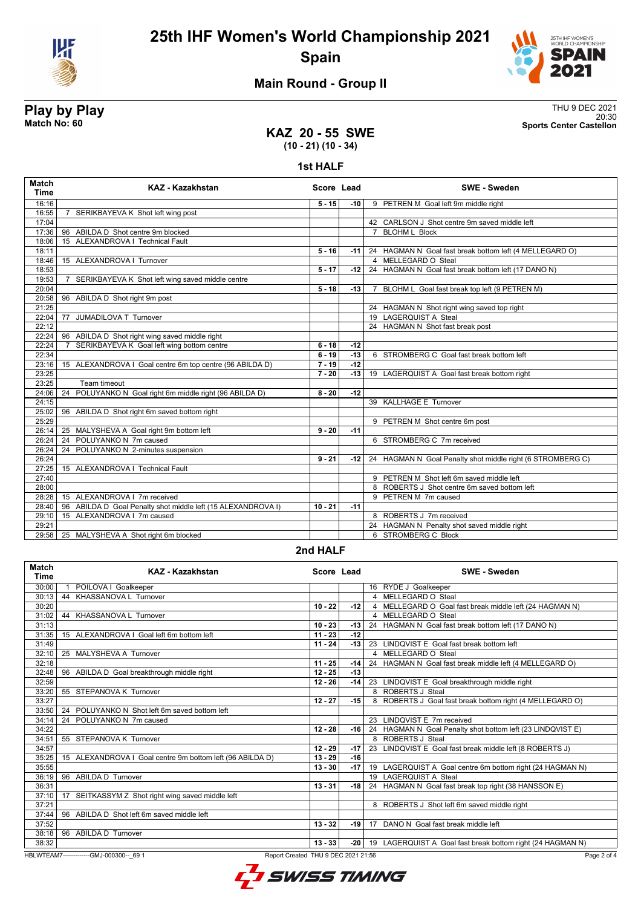



20:30 **Match No: 60 Sports Center Castellon**

### **Main Round - Group II**

# **Play by Play**<br>Match No: 60<br>Sports Center Castellon

**KAZ 20 - 55 SWE (10 - 21) (10 - 34)**

**1st HALF**

| <b>Match</b><br><b>Time</b> | <b>KAZ - Kazakhstan</b>                                            | Score Lead |       | <b>SWE - Sweden</b>                                        |
|-----------------------------|--------------------------------------------------------------------|------------|-------|------------------------------------------------------------|
| 16:16                       |                                                                    | $5 - 15$   | $-10$ | 9 PETREN M Goal left 9m middle right                       |
| 16:55                       | SERIKBAYEVA K Shot left wing post                                  |            |       |                                                            |
| 17:04                       |                                                                    |            |       | 42 CARLSON J Shot centre 9m saved middle left              |
| 17:36                       | 96 ABILDA D Shot centre 9m blocked                                 |            |       | 7 BLOHM L Block                                            |
| 18:06                       | 15 ALEXANDROVA I Technical Fault                                   |            |       |                                                            |
| 18:11                       |                                                                    | $5 - 16$   | -11 l | 24 HAGMAN N Goal fast break bottom left (4 MELLEGARD O)    |
| 18:46                       | 15 ALEXANDROVA   Turnover                                          |            |       | 4 MELLEGARD O Steal                                        |
| 18:53                       |                                                                    | $5 - 17$   | -12 l | 24 HAGMAN N Goal fast break bottom left (17 DANO N)        |
| 19:53                       | SERIKBAYEVA K Shot left wing saved middle centre<br>$\overline{7}$ |            |       |                                                            |
| 20:04                       |                                                                    | $5 - 18$   | $-13$ | 7 BLOHM L Goal fast break top left (9 PETREN M)            |
| 20:58                       | 96 ABILDA D Shot right 9m post                                     |            |       |                                                            |
| 21:25                       |                                                                    |            |       | 24 HAGMAN N Shot right wing saved top right                |
| 22:04                       | JUMADILOVA T Turnover<br>77                                        |            |       | 19 LAGERQUIST A Steal                                      |
| 22:12                       |                                                                    |            |       | 24 HAGMAN N Shot fast break post                           |
| 22:24                       | 96 ABILDA D Shot right wing saved middle right                     |            |       |                                                            |
| 22:24                       | SERIKBAYEVA K Goal left wing bottom centre                         | $6 - 18$   | $-12$ |                                                            |
| 22:34                       |                                                                    | $6 - 19$   | $-13$ | 6 STROMBERG C Goal fast break bottom left                  |
| 23:16                       | 15 ALEXANDROVA I Goal centre 6m top centre (96 ABILDA D)           | $7 - 19$   | $-12$ |                                                            |
| 23:25                       |                                                                    | $7 - 20$   | $-13$ | 19 LAGERQUIST A Goal fast break bottom right               |
| 23:25                       | Team timeout                                                       |            |       |                                                            |
| 24:06                       | POLUYANKO N Goal right 6m middle right (96 ABILDA D)<br>24         | $8 - 20$   | $-12$ |                                                            |
| 24:15                       |                                                                    |            |       | 39 KALLHAGE E Turnover                                     |
| 25:02                       | 96 ABILDA D Shot right 6m saved bottom right                       |            |       |                                                            |
| 25:29                       |                                                                    |            |       | 9 PETREN M Shot centre 6m post                             |
| 26:14                       | 25 MALYSHEVA A Goal right 9m bottom left                           | $9 - 20$   | $-11$ |                                                            |
| 26:24                       | POLUYANKO N 7m caused<br>24                                        |            |       | 6 STROMBERG C 7m received                                  |
| 26:24                       | 24 POLUYANKO N 2-minutes suspension                                |            |       |                                                            |
| 26:24                       |                                                                    | $9 - 21$   | -12   | 24 HAGMAN N Goal Penalty shot middle right (6 STROMBERG C) |
| 27:25                       | 15 ALEXANDROVA   Technical Fault                                   |            |       |                                                            |
| 27:40                       |                                                                    |            |       | 9 PETREN M Shot left 6m saved middle left                  |
| 28:00                       |                                                                    |            |       | 8 ROBERTS J Shot centre 6m saved bottom left               |
| 28:28                       | 15 ALEXANDROVA   7m received                                       |            |       | 9 PETREN M 7m caused                                       |
| 28:40                       | 96 ABILDA D Goal Penalty shot middle left (15 ALEXANDROVA I)       | $10 - 21$  | $-11$ |                                                            |
| 29:10                       | 15 ALEXANDROVA   7m caused                                         |            |       | 8 ROBERTS J 7m received                                    |
| 29:21                       |                                                                    |            |       | 24 HAGMAN N Penalty shot saved middle right                |
| 29:58                       | 25 MALYSHEVA A Shot right 6m blocked                               |            |       | 6 STROMBERG C Block                                        |
|                             |                                                                    |            |       |                                                            |

#### **2nd HALF**

| Match<br><b>Time</b>                                                                           | KAZ - Kazakhstan                                          | Score Lead |       | <b>SWE - Sweden</b>                                              |
|------------------------------------------------------------------------------------------------|-----------------------------------------------------------|------------|-------|------------------------------------------------------------------|
| 30:00                                                                                          | POILOVA I Goalkeeper                                      |            |       | 16 RYDE J Goalkeeper                                             |
| 30:13                                                                                          | 44 KHASSANOVA L Turnover                                  |            |       | 4 MELLEGARD O Steal                                              |
| 30:20                                                                                          |                                                           | $10 - 22$  | -12   | 4 MELLEGARD O Goal fast break middle left (24 HAGMAN N)          |
| 31:02                                                                                          | 44 KHASSANOVA L Turnover                                  |            |       | 4 MELLEGARD O Steal                                              |
| 31:13                                                                                          |                                                           | $10 - 23$  | $-13$ | 24 HAGMAN N Goal fast break bottom left (17 DANO N)              |
| 31:35                                                                                          | 15 ALEXANDROVA I Goal left 6m bottom left                 | $11 - 23$  | $-12$ |                                                                  |
| 31:49                                                                                          |                                                           | $11 - 24$  | -13 l | 23 LINDQVIST E Goal fast break bottom left                       |
| 32:10                                                                                          | 25 MALYSHEVA A Turnover                                   |            |       | 4 MELLEGARD O Steal                                              |
| 32:18                                                                                          |                                                           | $11 - 25$  | -14   | 24 HAGMAN N Goal fast break middle left (4 MELLEGARD O)          |
| 32:48                                                                                          | 96<br>ABILDA D Goal breakthrough middle right             | $12 - 25$  | $-13$ |                                                                  |
| 32:59                                                                                          |                                                           | $12 - 26$  | -14   | 23 LINDQVIST E Goal breakthrough middle right                    |
| 33:20                                                                                          | 55 STEPANOVA K Turnover                                   |            |       | 8 ROBERTS J Steal                                                |
| 33:27                                                                                          |                                                           | $12 - 27$  | -15   | 8 ROBERTS J Goal fast break bottom right (4 MELLEGARD O)         |
| 33:50                                                                                          | 24 POLUYANKO N Shot left 6m saved bottom left             |            |       |                                                                  |
| 34:14                                                                                          | 24 POLUYANKO N 7m caused                                  |            |       | 23 LINDQVIST E 7m received                                       |
| 34:22                                                                                          |                                                           | $12 - 28$  |       | -16   24 HAGMAN N Goal Penalty shot bottom left (23 LINDQVIST E) |
| 34:51                                                                                          | 55 STEPANOVA K Turnover                                   |            |       | 8 ROBERTS J Steal                                                |
| 34:57                                                                                          |                                                           | $12 - 29$  | $-17$ | 23 LINDQVIST E Goal fast break middle left (8 ROBERTS J)         |
| 35:25                                                                                          | 15 ALEXANDROVA I Goal centre 9m bottom left (96 ABILDA D) | $13 - 29$  | $-16$ |                                                                  |
| 35:55                                                                                          |                                                           | $13 - 30$  | -17 l | 19 LAGERQUIST A Goal centre 6m bottom right (24 HAGMAN N)        |
| 36:19                                                                                          | 96 ABILDA D Turnover                                      |            |       | 19 LAGERQUIST A Steal                                            |
| 36:31                                                                                          |                                                           | $13 - 31$  | -18 l | 24 HAGMAN N Goal fast break top right (38 HANSSON E)             |
| 37:10                                                                                          | 17 SEITKASSYM Z Shot right wing saved middle left         |            |       |                                                                  |
| 37:21                                                                                          |                                                           |            |       | 8 ROBERTS J Shot left 6m saved middle right                      |
| 37:44                                                                                          | ABILDA D Shot left 6m saved middle left<br>96             |            |       |                                                                  |
| 37:52                                                                                          |                                                           | $13 - 32$  | -19 l | 17 DANO N Goal fast break middle left                            |
| 38:18                                                                                          | 96 ABILDA D Turnover                                      |            |       |                                                                  |
| 38:32                                                                                          |                                                           | $13 - 33$  | $-20$ | 19 LAGERQUIST A Goal fast break bottom right (24 HAGMAN N)       |
| HBLWTEAM7--------------GMJ-000300-- 69 1<br>Report Created THU 9 DEC 2021 21:56<br>Page 2 of 4 |                                                           |            |       |                                                                  |

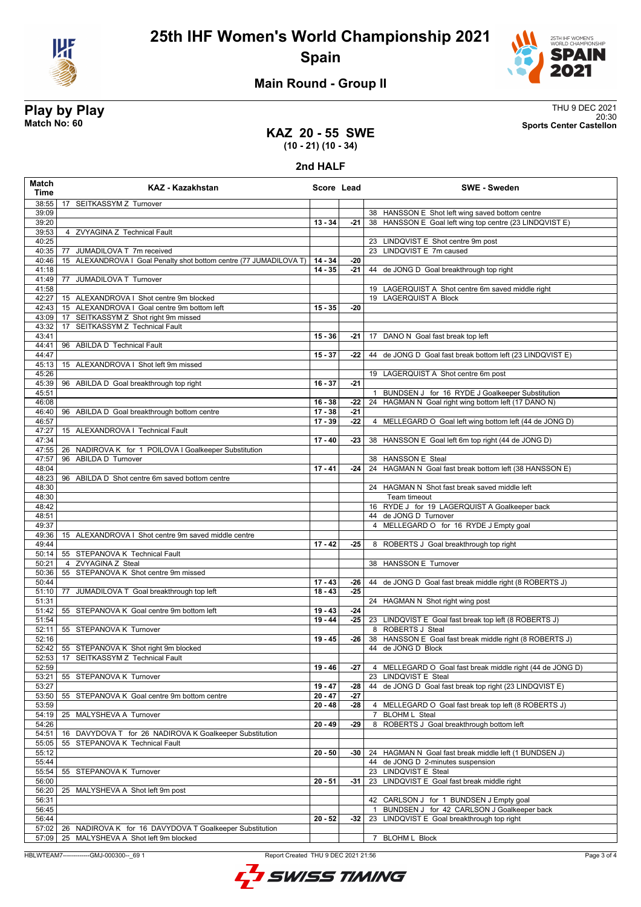



### **Main Round - Group II**

**Play by Play**<br>Match No: 60<br>Sports Center Castellon 20:30 **Match No: 60 Sports Center Castellon**

### **KAZ 20 - 55 SWE (10 - 21) (10 - 34)**

**2nd HALF**

| Match<br>Time  | <b>KAZ - Kazakhstan</b>                                                    | Score Lead |       | <b>SWE - Sweden</b>                                                                                    |
|----------------|----------------------------------------------------------------------------|------------|-------|--------------------------------------------------------------------------------------------------------|
| 38:55          | 17 SEITKASSYM Z Turnover                                                   |            |       |                                                                                                        |
| 39:09          |                                                                            |            |       | 38 HANSSON E Shot left wing saved bottom centre                                                        |
| 39:20          |                                                                            | $13 - 34$  | $-21$ | 38 HANSSON E Goal left wing top centre (23 LINDQVIST E)                                                |
| 39:53<br>40:25 | 4 ZVYAGINA Z Technical Fault                                               |            |       | 23 LINDQVIST E Shot centre 9m post                                                                     |
| 40:35          | JUMADILOVA T 7m received<br>77                                             |            |       | 23 LINDQVIST E 7m caused                                                                               |
| 40:46          | 15 ALEXANDROVA I Goal Penalty shot bottom centre (77 JUMADILOVA T)         | $14 - 34$  | -20   |                                                                                                        |
| 41:18          |                                                                            | $14 - 35$  | -21   | 44 de JONG D Goal breakthrough top right                                                               |
| 41:49          | JUMADILOVA T Turnover<br>77                                                |            |       |                                                                                                        |
| 41:58          |                                                                            |            |       | 19 LAGERQUIST A Shot centre 6m saved middle right                                                      |
| 42:27          | 15 ALEXANDROVA I Shot centre 9m blocked                                    |            |       | 19 LAGERQUIST A Block                                                                                  |
| 42:43          | 15 ALEXANDROVA I Goal centre 9m bottom left                                | $15 - 35$  | -20   |                                                                                                        |
| 43:09<br>43:32 | 17 SEITKASSYM Z Shot right 9m missed<br>SEITKASSYM Z Technical Fault<br>17 |            |       |                                                                                                        |
| 43:41          |                                                                            | $15 - 36$  | -21   | 17 DANO N Goal fast break top left                                                                     |
| 44:41          | 96 ABILDA D Technical Fault                                                |            |       |                                                                                                        |
| 44:47          |                                                                            | $15 - 37$  | -22   | 44 de JONG D Goal fast break bottom left (23 LINDQVIST E)                                              |
| 45:13          | 15 ALEXANDROVA I Shot left 9m missed                                       |            |       |                                                                                                        |
| 45:26          |                                                                            |            |       | 19 LAGERQUIST A Shot centre 6m post                                                                    |
| 45:39          | 96 ABILDA D Goal breakthrough top right                                    | $16 - 37$  | $-21$ |                                                                                                        |
| 45:51<br>46:08 |                                                                            | $16 - 38$  | -22   | BUNDSEN J for 16 RYDE J Goalkeeper Substitution<br>24 HAGMAN N Goal right wing bottom left (17 DANO N) |
| 46:40          | 96 ABILDA D Goal breakthrough bottom centre                                | $17 - 38$  | $-21$ |                                                                                                        |
| 46:57          |                                                                            | $17 - 39$  | -22   | 4 MELLEGARD O Goal left wing bottom left (44 de JONG D)                                                |
| 47:27          | 15 ALEXANDROVA   Technical Fault                                           |            |       |                                                                                                        |
| 47:34          |                                                                            | $17 - 40$  | -23   | 38 HANSSON E Goal left 6m top right (44 de JONG D)                                                     |
| 47:55          | 26 NADIROVA K for 1 POILOVA I Goalkeeper Substitution                      |            |       |                                                                                                        |
| 47:57          | ABILDA D Turnover<br>96                                                    |            |       | 38 HANSSON E Steal                                                                                     |
| 48:04          |                                                                            | $17 - 41$  | $-24$ | 24 HAGMAN N Goal fast break bottom left (38 HANSSON E)                                                 |
| 48:23<br>48:30 | 96 ABILDA D Shot centre 6m saved bottom centre                             |            |       | 24 HAGMAN N Shot fast break saved middle left                                                          |
| 48:30          |                                                                            |            |       | Team timeout                                                                                           |
| 48:42          |                                                                            |            |       | 16 RYDE J for 19 LAGERQUIST A Goalkeeper back                                                          |
| 48:51          |                                                                            |            |       | 44 de JONG D Turnover                                                                                  |
| 49:37          |                                                                            |            |       | 4 MELLEGARD O for 16 RYDE J Empty goal                                                                 |
| 49:36          | 15 ALEXANDROVA I Shot centre 9m saved middle centre                        |            |       |                                                                                                        |
| 49:44          |                                                                            | $17 - 42$  | $-25$ | 8 ROBERTS J Goal breakthrough top right                                                                |
| 50:14<br>50:21 | 55 STEPANOVA K Technical Fault<br>4 ZVYAGINA Z Steal                       |            |       | 38 HANSSON E Turnover                                                                                  |
| 50:36          | 55 STEPANOVA K Shot centre 9m missed                                       |            |       |                                                                                                        |
| 50:44          |                                                                            | $17 - 43$  | -26   | 44 de JONG D Goal fast break middle right (8 ROBERTS J)                                                |
| 51:10          | 77 JUMADILOVA T Goal breakthrough top left                                 | $18 - 43$  | $-25$ |                                                                                                        |
| 51:31          |                                                                            |            |       | 24 HAGMAN N Shot right wing post                                                                       |
| 51:42          | 55 STEPANOVA K Goal centre 9m bottom left                                  | $19 - 43$  | $-24$ |                                                                                                        |
| 51:54          |                                                                            | $19 - 44$  | -25   | 23 LINDQVIST E Goal fast break top left (8 ROBERTS J)                                                  |
| 52:11<br>52:16 | 55 STEPANOVA K Turnover                                                    | $19 - 45$  | -26   | 8 ROBERTS J Steal<br>38 HANSSON E Goal fast break middle right (8 ROBERTS J)                           |
| 52:42          | 55 STEPANOVA K Shot right 9m blocked                                       |            |       | 44 de JONG D Block                                                                                     |
| 52:53          | 17 SEITKASSYM Z Technical Fault                                            |            |       |                                                                                                        |
| 52:59          |                                                                            | $19 - 46$  | -27   | 4 MELLEGARD O Goal fast break middle right (44 de JONG D)                                              |
| 53:21          | 55 STEPANOVA K Turnover                                                    |            |       | 23 LINDQVIST E Steal                                                                                   |
| 53:27          |                                                                            | $19 - 47$  | -28   | 44 de JONG D Goal fast break top right (23 LINDQVIST E)                                                |
| 53:50          | 55 STEPANOVA K Goal centre 9m bottom centre                                | $20 - 47$  | $-27$ |                                                                                                        |
| 53:59          |                                                                            | $20 - 48$  | -28   | 4 MELLEGARD O Goal fast break top left (8 ROBERTS J)                                                   |
| 54:19<br>54:26 | 25 MALYSHEVA A Turnover                                                    | $20 - 49$  | -29   | <b>BLOHM L Steal</b><br>$\overline{7}$<br>8 ROBERTS J Goal breakthrough bottom left                    |
| 54:51          | 16 DAVYDOVA T for 26 NADIROVA K Goalkeeper Substitution                    |            |       |                                                                                                        |
| 55:05          | 55 STEPANOVA K Technical Fault                                             |            |       |                                                                                                        |
| 55:12          |                                                                            | $20 - 50$  | -30   | 24 HAGMAN N Goal fast break middle left (1 BUNDSEN J)                                                  |
| 55:44          |                                                                            |            |       | 44 de JONG D 2-minutes suspension                                                                      |
| 55:54          | STEPANOVA K Turnover<br>55                                                 |            |       | 23 LINDQVIST E Steal                                                                                   |
| 56:00          |                                                                            | $20 - 51$  | -31   | 23 LINDQVIST E Goal fast break middle right                                                            |
| 56:20<br>56:31 | 25<br>MALYSHEVA A Shot left 9m post                                        |            |       | 42 CARLSON J for 1 BUNDSEN J Empty goal                                                                |
| 56:45          |                                                                            |            |       | BUNDSEN J for 42 CARLSON J Goalkeeper back                                                             |
| 56:44          |                                                                            | $20 - 52$  | $-32$ | LINDQVIST E Goal breakthrough top right<br>23                                                          |
| 57:02          | 26<br>NADIROVA K for 16 DAVYDOVA T Goalkeeper Substitution                 |            |       |                                                                                                        |
| 57:09          | MALYSHEVA A Shot left 9m blocked<br>25                                     |            |       | <b>BLOHM L Block</b><br>7                                                                              |